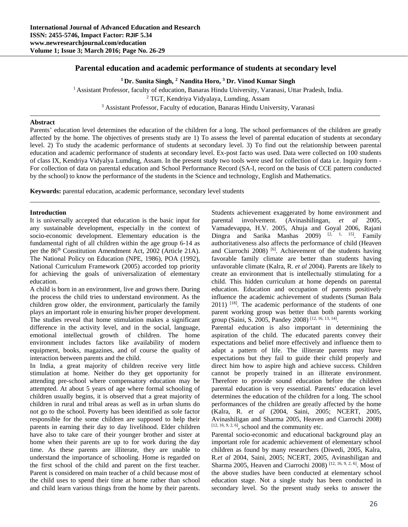# **Parental education and academic performance of students at secondary level**

**1 Dr. Sunita Singh, <sup>2</sup> Nandita Horo, 3 Dr. Vinod Kumar Singh**

<sup>1</sup> Assistant Professor, faculty of education, Banaras Hindu University, Varanasi, Uttar Pradesh, India. <sup>2</sup> TGT, Kendriya Vidyalaya, Lumding, Assam <sup>2</sup> TGT, Kendriya Vidyalaya, Lumding, Assam<br><sup>3</sup> Assistant Professor, Faculty of education, Banaras Hindu University, Varanasi

# **Abstract**

Parents' education level determines the education of the children for a long. The school performances of the children are greatly affected by the home. The objectives of presents study are 1) To assess the level of parental education of students at secondary level. 2) To study the academic performance of students at secondary level. 3) To find out the relationship between parental education and academic performance of students at secondary level. Ex-post facto was used. Data were collected on 100 students of class IX, Kendriya Vidyalya Lumding, Assam. In the present study two tools were used for collection of data i.e. Inquiry form - For collection of data on parental education and School Performance Record (SA-I, record on the basis of CCE pattern conducted by the school) to know the performance of the students in the Science and technology, English and Mathematics.

**Keywords:** parental education, academic performance, secondary level students

# **Introduction**

It is universally accepted that education is the basic input for any sustainable development, especially in the context of socio-economic development. Elementary education is the fundamental right of all children within the age group 6-14 as per the 86<sup>th</sup> Constitution Amendment Act, 2002 (Article 21A). The National Policy on Education (NPE, 1986), POA (1992), National Curriculum Framework (2005) accorded top priority for achieving the goals of universalization of elementary education.

A child is born in an environment, live and grows there. During the process the child tries to understand environment. As the children grow older, the environment, particularly the family plays an important role in ensuring his/her proper development. The studies reveal that home stimulation makes a significant difference in the activity level, and in the social, language, emotional intellectual growth of children. The home environment includes factors like availability of modern equipment, books, magazines, and of course the quality of interaction between parents and the child.

In India, a great majority of children receive very little stimulation at home. Neither do they get opportunity for attending pre-school where compensatory education may be attempted. At about 5 years of age where formal schooling of children usually begins, it is observed that a great majority of children in rural and tribal areas as well as in urban slums do not go to the school. Poverty has been identified as sole factor responsible for the some children are supposed to help their parents in earning their day to day livelihood. Elder children have also to take care of their younger brother and sister at home when their parents are up to for work during the day time. As these parents are illiterate, they are unable to understand the importance of schooling. Home is regarded on the first school of the child and parent on the first teacher. Parent is considered on main teacher of a child because most of the child uses to spend their time at home rather than school and child learn various things from the home by their parents.

Students achievement exaggerated by home environment and parental involvement. (Avinashilingan, *et al* 2005, Vamadevappa, H.V. 2005, Ahuja and Goyal 2006, Rajani Dingra and Sarika Manhas  $2009$   $\left[\begin{array}{ccc} 2009 & 2003 \\ 1 & 15 \end{array}\right]$  Family authoritativeness also affects the performance of child (Heaven and Ciarrochi 2008) [6]. Achievement of the students having favorable family climate are better than students having unfavorable climate (Kalra, R. *et al* 2004). Parents are likely to create an environment that is intellectually stimulating for a child. This hidden curriculum at home depends on parental education. Education and occupation of parents positively influence the academic achievement of students (Suman Bala  $2011$ ) <sup>[18]</sup>. The academic performance of the students of one parent working group was better than both parents working group (Saini, S. 2005, Pandey 2008) [12, 16, 13, 14].

Parental education is also important in determining the aspiration of the child. The educated parents convey their expectations and belief more effectively and influence them to adapt a pattern of life. The illiterate parents may have expectations but they fail to guide their child properly and direct him how to aspire high and achieve success. Children cannot be properly trained in an illiterate environment. Therefore to provide sound education before the children parental education is very essential. Parents' education level determines the education of the children for a long. The school performances of the children are greatly affected by the home (Kalra, R. *et al* (2004, Saini, 2005; NCERT, 2005, Avinashiligan and Sharma 2005, Heaven and Ciarrochi 2008)  $[12, 16, 9, 2, 6]$ , school and the community etc.

Parental socio-economic and educational background play an important role for academic achievement of elementary school children as found by many researchers (Diwedi, 2005, Kalra, R.*et al* 2004, Saini, 2005; NCERT, 2005, Avinashiligan and Sharma 2005, Heaven and Ciarrochi 2008) [12, 16, 9, 2, 6]. Most of the above studies have been conducted at elementary school education stage. Not a single study has been conducted in secondary level. So the present study seeks to answer the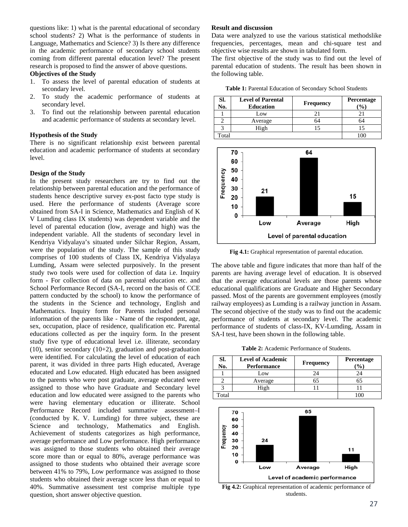questions like: 1) what is the parental educational of secondary school students? 2) What is the performance of students in Language, Mathematics and Science? 3) Is there any difference in the academic performance of secondary school students coming from different parental education level? The present research is proposed to find the answer of above questions.

#### **Objectives of the Study**

- 1. To assess the level of parental education of students at secondary level.
- 2. To study the academic performance of students at secondary level.
- 3. To find out the relationship between parental education and academic performance of students at secondary level.

# **Hypothesis of the Study**

There is no significant relationship exist between parental education and academic performance of students at secondary level.

#### **Design of the Study**

In the present study researchers are try to find out the relationship between parental education and the performance of students hence descriptive survey ex-post facto type study is used. Here the performance of students (Average score obtained from SA-I in Science, Mathematics and English of K V Lumding class IX students) was dependent variable and the level of parental education (low, average and high) was the independent variable. All the students of secondary level in Kendriya Vidyalaya's situated under Silchar Region, Assam, were the population of the study. The sample of this study comprises of 100 students of Class IX, Kendriya Vidyalaya Lumding, Assam were selected purposively. In the present study two tools were used for collection of data i.e. Inquiry form - For collection of data on parental education etc. and School Performance Record (SA-I, record on the basis of CCE pattern conducted by the school) to know the performance of the students in the Science and technology, English and Mathematics. Inquiry form for Parents included personal information of the parents like - Name of the respondent, age, sex, occupation, place of residence, qualification etc. Parental educations collected as per the inquiry form. In the present study five type of educational level i.e. illiterate, secondary  $(10)$ , senior secondary  $(10+2)$ , graduation and post-graduation were identified. For calculating the level of education of each parent, it was divided in three parts High educated, Average educated and Low educated. High educated has been assigned to the parents who were post graduate, average educated were assigned to those who have Graduate and Secondary level education and low educated were assigned to the parents who were having elementary education or illiterate. School Performance Record included summative assessment–I (conducted by K. V. Lumding) for three subject, these are Science and technology, Mathematics and English. Achievement of students categorizes as high performance, average performance and Low performance. High performance was assigned to those students who obtained their average score more than or equal to 80%, average performance was assigned to those students who obtained their average score between 41% to 79%, Low performance was assigned to those students who obtained their average score less than or equal to 40%. Summative assessment test comprise multiple type question, short answer objective question.

#### **Result and discussion**

Data were analyzed to use the various statistical methodslike frequencies, percentages, mean and chi-square test and objective wise results are shown in tabulated form.

The first objective of the study was to find out the level of parental education of students. The result has been shown in the following table.

**Table 1:** Parental Education of Secondary School Students

| SI.<br>No. | <b>Level of Parental</b><br><b>Education</b> | <b>Frequency</b> | Percentage<br>$\%$ |  |
|------------|----------------------------------------------|------------------|--------------------|--|
|            | Low                                          |                  |                    |  |
|            | Average                                      | 64               | 64                 |  |
|            | High                                         |                  |                    |  |
| Total      |                                              |                  |                    |  |



**Fig 4.1:** Graphical representation of parental education.

The above table and figure indicates that more than half of the parents are having average level of education. It is observed that the average educational levels are those parents whose educational qualifications are Graduate and Higher Secondary passed. Most of the parents are government employees (mostly railway employees) as Lumding is a railway junction in Assam. The second objective of the study was to find out the academic performance of students at secondary level. The academic performance of students of class-IX, KV-Lumding, Assam in SA-I test, have been shown in the following table.

**Table 2:** Academic Performance of Students.

| SI.<br>No. | <b>Level of Academic</b><br>Performance | <b>Frequency</b> | Percentage<br>$\mathcal{O}_0$ |
|------------|-----------------------------------------|------------------|-------------------------------|
|            | Low                                     | 24               | 24                            |
|            | Average                                 |                  | 65                            |
|            | High                                    |                  |                               |
| Total      |                                         |                  |                               |



**Fig 4.2:** Graphical representation of academic performance of students.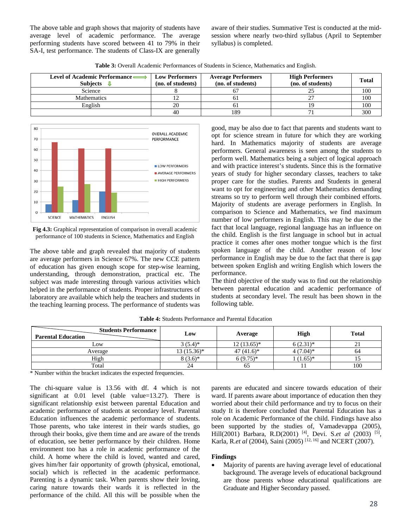The above table and graph shows that majority of students have average level of academic performance. The average performing students have scored between 41 to 79% in their SA-I, test performance. The students of Class-IX are generally

aware of their studies. Summative Test is conducted at the midsession where nearly two-third syllabus (April to September syllabus) is completed.

**Table 3:** Overall Academic Performances of Students in Science, Mathematics and English.

| Level of Academic Performance<br>Subjects | <b>Low Performers</b><br>(no. of students) | <b>Average Performers</b><br>(no. of students) | <b>High Performers</b><br>(no. of students) | Total |
|-------------------------------------------|--------------------------------------------|------------------------------------------------|---------------------------------------------|-------|
| Science                                   |                                            |                                                |                                             | 100   |
| <b>Mathematics</b>                        |                                            |                                                |                                             | 100   |
| English                                   | 20                                         | n i                                            |                                             | 100   |
|                                           | 40                                         | 189                                            |                                             | 300   |



**Fig 4.3:** Graphical representation of comparison in overall academic performance of 100 students in Science, Mathematics and English

The above table and graph revealed that majority of students are average performers in Science 67%. The new CCE pattern of education has given enough scope for step-wise learning, understanding, through demonstration, practical etc. The subject was made interesting through various activities which helped in the performance of students. Proper infrastructures of laboratory are available which help the teachers and students in the teaching learning process. The performance of students was

good, may be also due to fact that parents and students want to opt for science stream in future for which they are working hard. In Mathematics majority of students are average performers. General awareness is seen among the students to perform well. Mathematics being a subject of logical approach and with practice interest's students. Since this is the formative years of study for higher secondary classes, teachers to take proper care for the studies. Parents and Students in general want to opt for engineering and other Mathematics demanding streams so try to perform well through their combined efforts. Majority of students are average performers in English. In comparison to Science and Mathematics, we find maximum number of low performers in English. This may be due to the fact that local language, regional language has an influence on the child. English is the first language in school but in actual practice it comes after ones mother tongue which is the first spoken language of the child. Another reason of low performance in English may be due to the fact that there is gap between spoken English and writing English which lowers the performance.

The third objective of the study was to find out the relationship between parental education and academic performance of students at secondary level. The result has been shown in the following table.

| <b>Students Performance</b><br><b>Parental Education</b> | Low           | Average      | <b>High</b>   | <b>Total</b> |
|----------------------------------------------------------|---------------|--------------|---------------|--------------|
| $L$ <sub>O</sub> W                                       | $3(5.4)$ *    | $12(13.65)*$ | $6(2.31)^{*}$ | ∠⊥           |
| Average                                                  | $13(15.36)^*$ | $47(41.6)^*$ | $4(7.04)$ *   | 64           |
| High                                                     | $8(3.6)^*$    | $6(9.75)*$   | $(1.65)^*$    |              |
| Total                                                    | 24            | 65           | -1            | 100          |

**Table 4:** Students Performance and Parental Education

\* Number within the bracket indicates the expected frequencies.

The chi-square value is 13.56 with df. 4 which is not significant at 0.01 level (table value=13.27). There is significant relationship exist between parental Education and academic performance of students at secondary level. Parental Education influences the academic performance of students. Those parents, who take interest in their wards studies, go through their books, give them time and are aware of the trends of education, see better performance by their children. Home environment too has a role in academic performance of the child. A home where the child is loved, wanted and cared, gives him/her fair opportunity of growth (physical, emotional, social) which is reflected in the academic performance. Parenting is a dynamic task. When parents show their loving, caring nature towards their wards it is reflected in the performance of the child. All this will be possible when the

parents are educated and sincere towards education of their ward. If parents aware about importance of education then they worried about their child performance and try to focus on their study It is therefore concluded that Parental Education has a role on Academic Performance of the child. Findings have also been supported by the studies of, Vamadevappa (2005), Hill(2001) Barbara, R.D(2001) [4], Devi. S.*et al* (2003) [5], Karla, R.*et al* (2004), Saini (2005) [12, 16] and NCERT (2007).

### **Findings**

 Majority of parents are having average level of educational background. The average levels of educational background are those parents whose educational qualifications are Graduate and Higher Secondary passed.